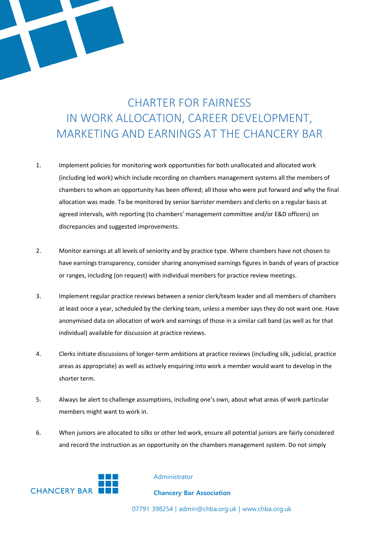## CHARTER FOR FAIRNESS IN WORK ALLOCATION, CAREER DEVELOPMENT, MARKETING AND EARNINGS AT THE CHANCERY BAR

- 1. Implement policies for monitoring work opportunities for both unallocated and allocated work (including led work) which include recording on chambers management systems all the members of chambers to whom an opportunity has been offered; all those who were put forward and why the final allocation was made. To be monitored by senior barrister members and clerks on a regular basis at agreed intervals, with reporting (to chambers' management committee and/or E&D officers) on discrepancies and suggested improvements.
- 2. Monitor earnings at all levels of seniority and by practice type. Where chambers have not chosen to have earnings transparency, consider sharing anonymised earnings figures in bands of years of practice or ranges, including (on request) with individual members for practice review meetings.
- 3. Implement regular practice reviews between a senior clerk/team leader and all members of chambers at least once a year, scheduled by the clerking team, unless a member says they do not want one. Have anonymised data on allocation of work and earnings of those in a similar call band (as well as for that individual) available for discussion at practice reviews.
- 4. Clerks initiate discussions of longer-term ambitions at practice reviews (including silk, judicial, practice areas as appropriate) as well as actively enquiring into work a member would want to develop in the shorter term.
- 5. Always be alert to challenge assumptions, including one's own, about what areas of work particular members might want to work in.
- 6. When juniors are allocated to silks or other led work, ensure all potential juniors are fairly considered and record the instruction as an opportunity on the chambers management system. Do not simply



## Administrator

## **Chancery Bar Association**

07791 398254 | admin@chba.org.uk | www.chba.org.uk